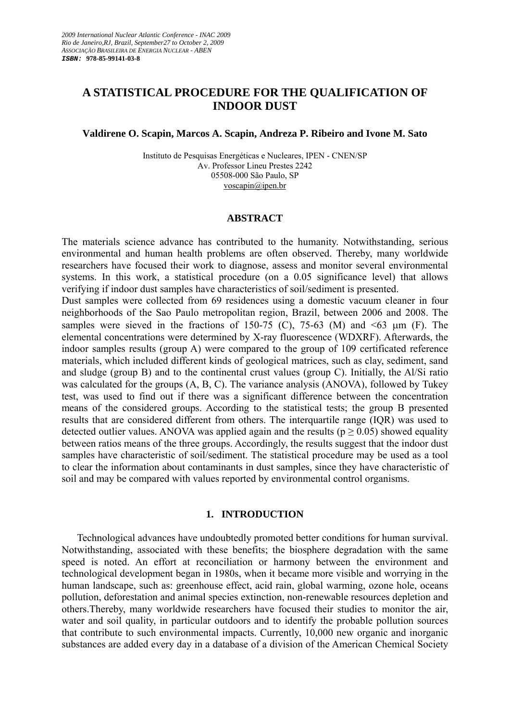# **A STATISTICAL PROCEDURE FOR THE QUALIFICATION OF INDOOR DUST**

# **Valdirene O. Scapin, Marcos A. Scapin, Andreza P. Ribeiro and Ivone M. Sato**

Instituto de Pesquisas Energéticas e Nucleares, IPEN - CNEN/SP Av. Professor Lineu Prestes 2242 05508-000 São Paulo, SP voscapin@ipen.br

# **ABSTRACT**

The materials science advance has contributed to the humanity. Notwithstanding, serious environmental and human health problems are often observed. Thereby, many worldwide researchers have focused their work to diagnose, assess and monitor several environmental systems. In this work, a statistical procedure (on a 0.05 significance level) that allows verifying if indoor dust samples have characteristics of soil/sediment is presented.

Dust samples were collected from 69 residences using a domestic vacuum cleaner in four neighborhoods of the Sao Paulo metropolitan region, Brazil, between 2006 and 2008. The samples were sieved in the fractions of 150-75 (C), 75-63 (M) and  $\leq 63$  µm (F). The elemental concentrations were determined by X-ray fluorescence (WDXRF). Afterwards, the indoor samples results (group A) were compared to the group of 109 certificated reference materials, which included different kinds of geological matrices, such as clay, sediment, sand and sludge (group B) and to the continental crust values (group C). Initially, the Al/Si ratio was calculated for the groups (A, B, C). The variance analysis (ANOVA), followed by Tukey test, was used to find out if there was a significant difference between the concentration means of the considered groups. According to the statistical tests; the group B presented results that are considered different from others. The interquartile range (IQR) was used to detected outlier values. ANOVA was applied again and the results ( $p \ge 0.05$ ) showed equality between ratios means of the three groups. Accordingly, the results suggest that the indoor dust samples have characteristic of soil/sediment. The statistical procedure may be used as a tool to clear the information about contaminants in dust samples, since they have characteristic of soil and may be compared with values reported by environmental control organisms.

# **1. INTRODUCTION**

Technological advances have undoubtedly promoted better conditions for human survival. Notwithstanding, associated with these benefits; the biosphere degradation with the same speed is noted. An effort at reconciliation or harmony between the environment and technological development began in 1980s, when it became more visible and worrying in the human landscape, such as: greenhouse effect, acid rain, global warming, ozone hole, oceans pollution, deforestation and animal species extinction, non-renewable resources depletion and others.Thereby, many worldwide researchers have focused their studies to monitor the air, water and soil quality, in particular outdoors and to identify the probable pollution sources that contribute to such environmental impacts. Currently, 10,000 new organic and inorganic substances are added every day in a database of a division of the American Chemical Society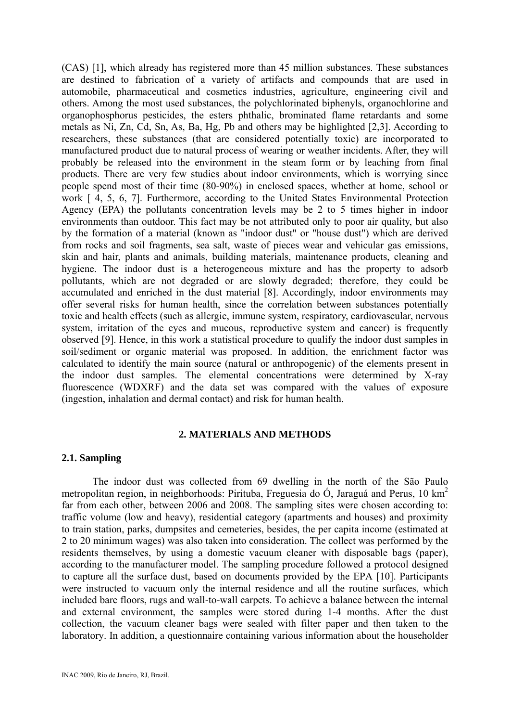(CAS) [1], which already has registered more than 45 million substances. These substances are destined to fabrication of a variety of artifacts and compounds that are used in automobile, pharmaceutical and cosmetics industries, agriculture, engineering civil and others. Among the most used substances, the polychlorinated biphenyls, organochlorine and organophosphorus pesticides, the esters phthalic, brominated flame retardants and some metals as Ni, Zn, Cd, Sn, As, Ba, Hg, Pb and others may be highlighted [2,3]. According to researchers, these substances (that are considered potentially toxic) are incorporated to manufactured product due to natural process of wearing or weather incidents. After, they will probably be released into the environment in the steam form or by leaching from final products. There are very few studies about indoor environments, which is worrying since people spend most of their time (80-90%) in enclosed spaces, whether at home, school or work [ 4, 5, 6, 7]. Furthermore, according to the United States Environmental Protection Agency (EPA) the pollutants concentration levels may be 2 to 5 times higher in indoor environments than outdoor. This fact may be not attributed only to poor air quality, but also by the formation of a material (known as "indoor dust" or "house dust") which are derived from rocks and soil fragments, sea salt, waste of pieces wear and vehicular gas emissions, skin and hair, plants and animals, building materials, maintenance products, cleaning and hygiene. The indoor dust is a heterogeneous mixture and has the property to adsorb pollutants, which are not degraded or are slowly degraded; therefore, they could be accumulated and enriched in the dust material [8]. Accordingly, indoor environments may offer several risks for human health, since the correlation between substances potentially toxic and health effects (such as allergic, immune system, respiratory, cardiovascular, nervous system, irritation of the eyes and mucous, reproductive system and cancer) is frequently observed [9]. Hence, in this work a statistical procedure to qualify the indoor dust samples in soil/sediment or organic material was proposed. In addition, the enrichment factor was calculated to identify the main source (natural or anthropogenic) of the elements present in the indoor dust samples. The elemental concentrations were determined by X-ray fluorescence (WDXRF) and the data set was compared with the values of exposure (ingestion, inhalation and dermal contact) and risk for human health.

# **2. MATERIALS AND METHODS**

# **2.1. Sampling**

The indoor dust was collected from 69 dwelling in the north of the São Paulo metropolitan region, in neighborhoods: Pirituba, Freguesia do Ó, Jaraguá and Perus, 10 km<sup>2</sup> far from each other, between 2006 and 2008. The sampling sites were chosen according to: traffic volume (low and heavy), residential category (apartments and houses) and proximity to train station, parks, dumpsites and cemeteries, besides, the per capita income (estimated at 2 to 20 minimum wages) was also taken into consideration. The collect was performed by the residents themselves, by using a domestic vacuum cleaner with disposable bags (paper), according to the manufacturer model. The sampling procedure followed a protocol designed to capture all the surface dust, based on documents provided by the EPA [10]. Participants were instructed to vacuum only the internal residence and all the routine surfaces, which included bare floors, rugs and wall-to-wall carpets. To achieve a balance between the internal and external environment, the samples were stored during 1-4 months. After the dust collection, the vacuum cleaner bags were sealed with filter paper and then taken to the laboratory. In addition, a questionnaire containing various information about the householder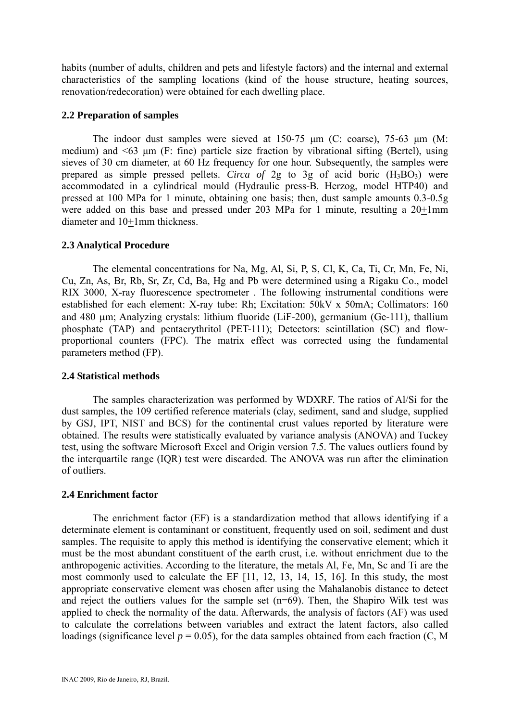habits (number of adults, children and pets and lifestyle factors) and the internal and external characteristics of the sampling locations (kind of the house structure, heating sources, renovation/redecoration) were obtained for each dwelling place.

# **2.2 Preparation of samples**

The indoor dust samples were sieved at 150-75 μm (C: coarse), 75-63 μm (M: medium) and <63 μm (F: fine) particle size fraction by vibrational sifting (Bertel), using sieves of 30 cm diameter, at 60 Hz frequency for one hour. Subsequently, the samples were prepared as simple pressed pellets. *Circa of* 2g to 3g of acid boric  $(H_3BO_3)$  were accommodated in a cylindrical mould (Hydraulic press-B. Herzog, model HTP40) and pressed at 100 MPa for 1 minute, obtaining one basis; then, dust sample amounts 0.3-0.5g were added on this base and pressed under 203 MPa for 1 minute, resulting a  $20 \pm 1$ mm diameter and 10+1mm thickness.

# **2.3 Analytical Procedure**

The elemental concentrations for Na, Mg, Al, Si, P, S, Cl, K, Ca, Ti, Cr, Mn, Fe, Ni, Cu, Zn, As, Br, Rb, Sr, Zr, Cd, Ba, Hg and Pb were determined using a Rigaku Co., model RIX 3000, X-ray fluorescence spectrometer . The following instrumental conditions were established for each element: X-ray tube: Rh; Excitation: 50kV x 50mA; Collimators: 160 and 480 μm; Analyzing crystals: lithium fluoride (LiF-200), germanium (Ge-111), thallium phosphate (TAP) and pentaerythritol (PET-111); Detectors: scintillation (SC) and flowproportional counters (FPC). The matrix effect was corrected using the fundamental parameters method (FP).

# **2.4 Statistical methods**

The samples characterization was performed by WDXRF. The ratios of Al/Si for the dust samples, the 109 certified reference materials (clay, sediment, sand and sludge, supplied by GSJ, IPT, NIST and BCS) for the continental crust values reported by literature were obtained. The results were statistically evaluated by variance analysis (ANOVA) and Tuckey test, using the software Microsoft Excel and Origin version 7.5. The values outliers found by the interquartile range (IQR) test were discarded. The ANOVA was run after the elimination of outliers.

# **2.4 Enrichment factor**

The enrichment factor (EF) is a standardization method that allows identifying if a determinate element is contaminant or constituent, frequently used on soil, sediment and dust samples. The requisite to apply this method is identifying the conservative element; which it must be the most abundant constituent of the earth crust, i.e. without enrichment due to the anthropogenic activities. According to the literature, the metals Al, Fe, Mn, Sc and Ti are the most commonly used to calculate the EF [11, 12, 13, 14, 15, 16]. In this study, the most appropriate conservative element was chosen after using the Mahalanobis distance to detect and reject the outliers values for the sample set (n=69). Then, the Shapiro Wilk test was applied to check the normality of the data. Afterwards, the analysis of factors (AF) was used to calculate the correlations between variables and extract the latent factors, also called loadings (significance level  $p = 0.05$ ), for the data samples obtained from each fraction (C, M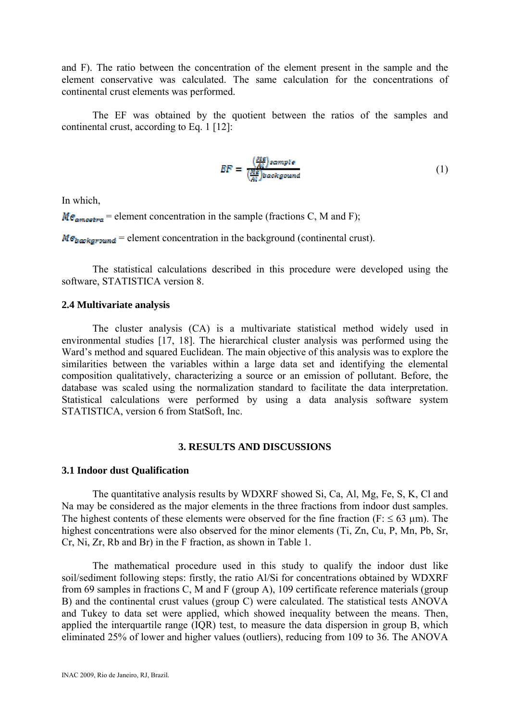and F). The ratio between the concentration of the element present in the sample and the element conservative was calculated. The same calculation for the concentrations of continental crust elements was performed.

The EF was obtained by the quotient between the ratios of the samples and continental crust, according to Eq. 1 [12]:

$$
BF = \frac{\left(\frac{BIS}{AI}\right) sample}{\left(\frac{BIS}{AI}\right) background}}\tag{1}
$$

In which,

 $Me<sub>amostra</sub>$  = element concentration in the sample (fractions C, M and F);

 $M\epsilon_{bawkground}$  = element concentration in the background (continental crust).

The statistical calculations described in this procedure were developed using the software, STATISTICA version 8.

#### **2.4 Multivariate analysis**

The cluster analysis (CA) is a multivariate statistical method widely used in environmental studies [17, 18]. The hierarchical cluster analysis was performed using the Ward's method and squared Euclidean. The main objective of this analysis was to explore the similarities between the variables within a large data set and identifying the elemental composition qualitatively, characterizing a source or an emission of pollutant. Before, the database was scaled using the normalization standard to facilitate the data interpretation. Statistical calculations were performed by using a data analysis software system STATISTICA, version 6 from StatSoft, Inc.

## **3. RESULTS AND DISCUSSIONS**

#### **3.1 Indoor dust Qualification**

The quantitative analysis results by WDXRF showed Si, Ca, Al, Mg, Fe, S, K, Cl and Na may be considered as the major elements in the three fractions from indoor dust samples. The highest contents of these elements were observed for the fine fraction (F:  $\leq 63$  µm). The highest concentrations were also observed for the minor elements (Ti, Zn, Cu, P, Mn, Pb, Sr, Cr, Ni, Zr, Rb and Br) in the F fraction, as shown in Table 1.

The mathematical procedure used in this study to qualify the indoor dust like soil/sediment following steps: firstly, the ratio Al/Si for concentrations obtained by WDXRF from 69 samples in fractions C, M and F (group A), 109 certificate reference materials (group B) and the continental crust values (group C) were calculated. The statistical tests ANOVA and Tukey to data set were applied, which showed inequality between the means. Then, applied the interquartile range (IQR) test, to measure the data dispersion in group B, which eliminated 25% of lower and higher values (outliers), reducing from 109 to 36. The ANOVA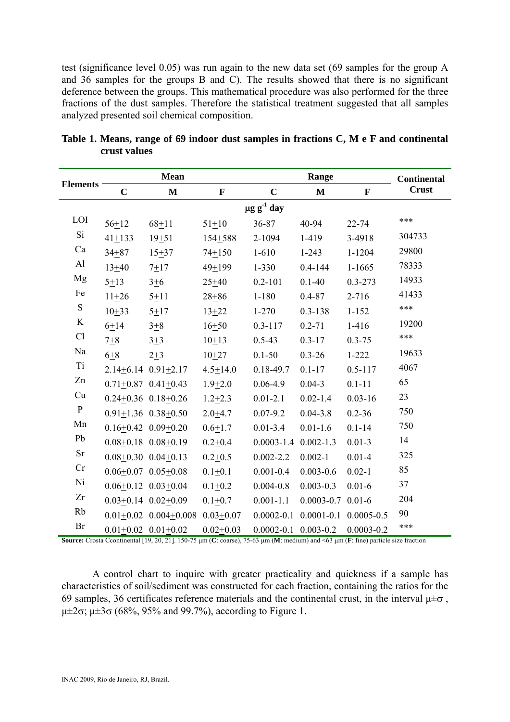test (significance level 0.05) was run again to the new data set (69 samples for the group A and 36 samples for the groups B and C). The results showed that there is no significant deference between the groups. This mathematical procedure was also performed for the three fractions of the dust samples. Therefore the statistical treatment suggested that all samples analyzed presented soil chemical composition.

|                 |                             | <b>Mean</b>                 |                            |                              | <b>Continental</b><br><b>Crust</b> |                |              |              |  |  |  |
|-----------------|-----------------------------|-----------------------------|----------------------------|------------------------------|------------------------------------|----------------|--------------|--------------|--|--|--|
| <b>Elements</b> | $\mathbf C$<br>$\mathbf{M}$ |                             | $\mathbf C$<br>$\mathbf F$ |                              |                                    |                | $\mathbf{M}$ | $\mathbf{F}$ |  |  |  |
|                 | $\mu$ g g <sup>-1</sup> day |                             |                            |                              |                                    |                |              |              |  |  |  |
| LOI             | $56 + 12$                   | $68 + 11$                   | $51 + 10$                  | 36-87                        | 40-94                              | $22 - 74$      | ***          |              |  |  |  |
| Si              | $41 + 133$                  | $19+51$                     | 154+588                    | 2-1094                       | 1-419                              | 3-4918         | 304733       |              |  |  |  |
| Ca              | $34 + 87$                   | $15 + 37$                   | $74 + 150$                 | $1 - 610$                    | $1 - 243$                          | $1 - 1204$     | 29800        |              |  |  |  |
| Al              | $13 + 40$                   | $7 + 17$                    | $49 + 199$                 | $1 - 330$                    | $0.4 - 144$                        | $1 - 1665$     | 78333        |              |  |  |  |
| Mg              | $5 + 13$                    | $3 + 6$                     | $25 + 40$                  | $0.2 - 101$                  | $0.1 - 40$                         | $0.3 - 273$    | 14933        |              |  |  |  |
| Fe              | $11 + 26$                   | $5 + 11$                    | $28 + 86$                  | $1 - 180$                    | $0.4 - 87$                         | $2 - 716$      | 41433        |              |  |  |  |
| ${\bf S}$       | $10+33$                     | $5 + 17$                    | $13 + 22$                  | $1 - 270$                    | $0.3 - 138$                        | $1 - 152$      | ***          |              |  |  |  |
| $\rm K$         | $6 + 14$                    | $3 + 8$                     | $16 + 50$                  | $0.3 - 117$                  | $0.2 - 71$                         | $1-416$        | 19200        |              |  |  |  |
| Cl              | $7 + 8$                     | $3 + 3$                     | $10+13$                    | $0.5 - 43$                   | $0.3 - 17$                         | $0.3 - 75$     | ***          |              |  |  |  |
| Na              | $6+8$                       | $2 + 3$                     | $10+27$                    | $0.1 - 50$                   | $0.3 - 26$                         | $1 - 222$      | 19633        |              |  |  |  |
| Ti              |                             | $2.14+6.14$ $0.91+2.17$     | $4.5 + 14.0$               | $0.18 - 49.7$                | $0.1 - 17$                         | $0.5 - 117$    | 4067         |              |  |  |  |
| Zn              |                             | $0.71+0.87$ $0.41+0.43$     | $1.9 + 2.0$                | $0.06 - 4.9$                 | $0.04 - 3$                         | $0.1 - 11$     | 65           |              |  |  |  |
| Cu              |                             | $0.24+0.36$ $0.18+0.26$     | $1.2 + 2.3$                | $0.01 - 2.1$                 | $0.02 - 1.4$                       | $0.03 - 16$    | 23           |              |  |  |  |
| ${\bf P}$       |                             | $0.91+1.36$ $0.38+0.50$     | $2.0 + 4.7$                | $0.07 - 9.2$                 | $0.04 - 3.8$                       | $0.2 - 36$     | 750          |              |  |  |  |
| Mn              |                             | $0.16+0.42$ $0.09+0.20$     | $0.6 + 1.7$                | $0.01 - 3.4$                 | $0.01 - 1.6$                       | $0.1 - 14$     | 750          |              |  |  |  |
| Pb              |                             | $0.08 + 0.18$ $0.08 + 0.19$ | $0.2 + 0.4$                | $0.0003 - 1.4$ $0.002 - 1.3$ |                                    | $0.01 - 3$     | 14           |              |  |  |  |
| <b>Sr</b>       |                             | $0.08+0.30$ $0.04+0.13$     | $0.2 + 0.5$                | $0.002 - 2.2$                | $0.002 - 1$                        | $0.01 - 4$     | 325          |              |  |  |  |
| Cr              |                             | $0.06+0.07$ $0.05+0.08$     | $0.1 + 0.1$                | $0.001 - 0.4$                | $0.003 - 0.6$                      | $0.02 - 1$     | 85           |              |  |  |  |
| Ni              |                             | $0.06+0.12$ $0.03+0.04$     | $0.1 + 0.2$                | $0.004 - 0.8$                | $0.003 - 0.3$                      | $0.01 - 6$     | 37           |              |  |  |  |
| Zr              |                             | $0.03+0.14$ $0.02+0.09$     | $0.1 + 0.7$                | $0.001 - 1.1$                | $0.0003 - 0.7$ 0.01-6              |                | 204          |              |  |  |  |
| Rb              |                             | $0.01+0.02$ $0.004+0.008$   | $0.03 + 0.07$              | $0.0002 - 0.1$               | $0.0001 - 0.1$ $0.0005 - 0.5$      |                | 90           |              |  |  |  |
| Br              |                             | $0.01+0.02$ $0.01+0.02$     | $0.02 + 0.03$              | $0.0002 - 0.1$ $0.003 - 0.2$ |                                    | $0.0003 - 0.2$ | ***          |              |  |  |  |

**Table 1. Means, range of 69 indoor dust samples in fractions C, M e F and continental crust values** 

**Source:** Crosta Ccontinental [19, 20, 21]. 150-75 μm (**C**: coarse), 75-63 μm (**M**: medium) and <63 μm (**F**: fine) particle size fraction

A control chart to inquire with greater practicality and quickness if a sample has characteristics of soil/sediment was constructed for each fraction, containing the ratios for the 69 samples, 36 certificates reference materials and the continental crust, in the interval  $\mu \pm \sigma$ , μ±2σ; μ±3σ (68%, 95% and 99.7%), according to Figure 1.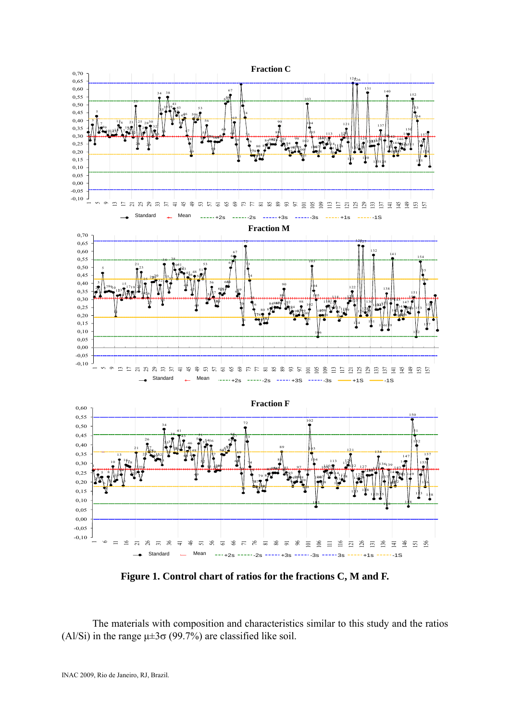

**Figure 1. Control chart of ratios for the fractions C, M and F.**

The materials with composition and characteristics similar to this study and the ratios (Al/Si) in the range  $\mu \pm 3\sigma$  (99.7%) are classified like soil.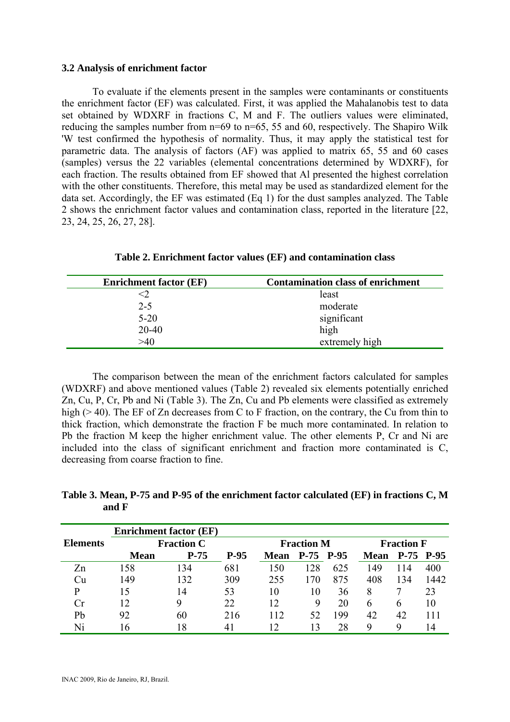## **3.2 Analysis of enrichment factor**

To evaluate if the elements present in the samples were contaminants or constituents the enrichment factor (EF) was calculated. First, it was applied the Mahalanobis test to data set obtained by WDXRF in fractions C, M and F. The outliers values were eliminated, reducing the samples number from n=69 to n=65, 55 and 60, respectively. The Shapiro Wilk 'W test confirmed the hypothesis of normality. Thus, it may apply the statistical test for parametric data. The analysis of factors (AF) was applied to matrix 65, 55 and 60 cases (samples) versus the 22 variables (elemental concentrations determined by WDXRF), for each fraction. The results obtained from EF showed that Al presented the highest correlation with the other constituents. Therefore, this metal may be used as standardized element for the data set. Accordingly, the EF was estimated (Eq 1) for the dust samples analyzed. The Table 2 shows the enrichment factor values and contamination class, reported in the literature [22, 23, 24, 25, 26, 27, 28].

| <b>Enrichment factor (EF)</b> | <b>Contamination class of enrichment</b> |
|-------------------------------|------------------------------------------|
|                               | least                                    |
| $2 - 5$                       | moderate                                 |
| $5 - 20$                      | significant                              |
| $20 - 40$                     | high                                     |
| -40                           | extremely high                           |

**Table 2. Enrichment factor values (EF) and contamination class**

The comparison between the mean of the enrichment factors calculated for samples (WDXRF) and above mentioned values (Table 2) revealed six elements potentially enriched Zn, Cu, P, Cr, Pb and Ni (Table 3). The Zn, Cu and Pb elements were classified as extremely high ( $> 40$ ). The EF of Zn decreases from C to F fraction, on the contrary, the Cu from thin to thick fraction, which demonstrate the fraction F be much more contaminated. In relation to Pb the fraction M keep the higher enrichment value. The other elements P, Cr and Ni are included into the class of significant enrichment and fraction more contaminated is C, decreasing from coarse fraction to fine.

**Table 3. Mean, P-75 and P-95 of the enrichment factor calculated (EF) in fractions C, M and F**

|                 | <b>Enrichment factor (EF)</b> |        |        |                   |           |     |                   |               |      |
|-----------------|-------------------------------|--------|--------|-------------------|-----------|-----|-------------------|---------------|------|
| <b>Elements</b> | <b>Fraction C</b>             |        |        | <b>Fraction M</b> |           |     | <b>Fraction F</b> |               |      |
|                 | <b>Mean</b>                   | $P-75$ | $P-95$ | <b>Mean</b>       | P-75 P-95 |     | <b>Mean</b>       | $P-75$ $P-95$ |      |
| Zn              | 158                           | 134    | 681    | 150               | 128       | 625 | 149               | 114           | 400  |
| Cu              | 149                           | 132    | 309    | 255               | 170       | 875 | 408               | 134           | 1442 |
| p               | 15                            | 14     | 53     | 10                | 10        | 36  | 8                 |               | 23   |
| Cr              | 12                            | 9      | 22     | 12                | 9         | 20  | 6                 | 6             | 10   |
| Pb              | 92                            | 60     | 216    | 112               | 52        | 199 | 42                | 42            | 11   |
| Ni              | 16                            | 18     | 41     | $\sqrt{2}$        |           | 28  | Q                 | Q             | 14   |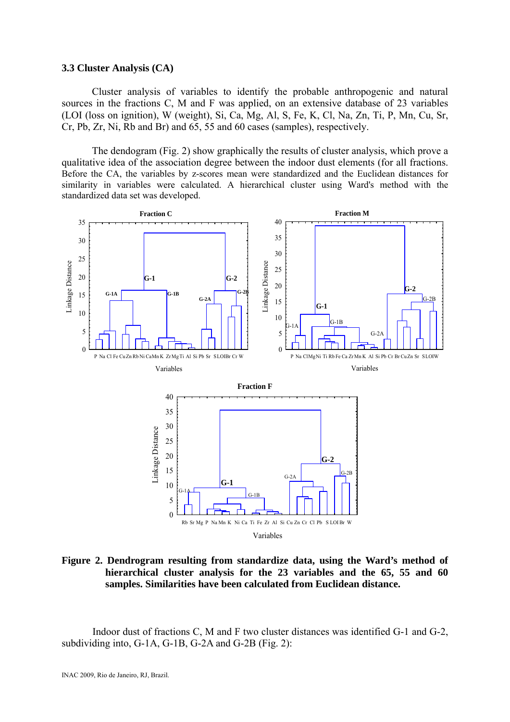# **3.3 Cluster Analysis (CA)**

Cluster analysis of variables to identify the probable anthropogenic and natural sources in the fractions C, M and F was applied, on an extensive database of 23 variables (LOI (loss on ignition), W (weight), Si, Ca, Mg, Al, S, Fe, K, Cl, Na, Zn, Ti, P, Mn, Cu, Sr, Cr, Pb, Zr, Ni, Rb and Br) and 65, 55 and 60 cases (samples), respectively.

The dendogram (Fig. 2) show graphically the results of cluster analysis, which prove a qualitative idea of the association degree between the indoor dust elements (for all fractions. Before the CA, the variables by z-scores mean were standardized and the Euclidean distances for similarity in variables were calculated. A hierarchical cluster using Ward's method with the standardized data set was developed.



**Figure 2. Dendrogram resulting from standardize data, using the Ward's method of hierarchical cluster analysis for the 23 variables and the 65, 55 and 60 samples. Similarities have been calculated from Euclidean distance.** 

Indoor dust of fractions C, M and F two cluster distances was identified G-1 and G-2, subdividing into, G-1A, G-1B, G-2A and G-2B (Fig. 2):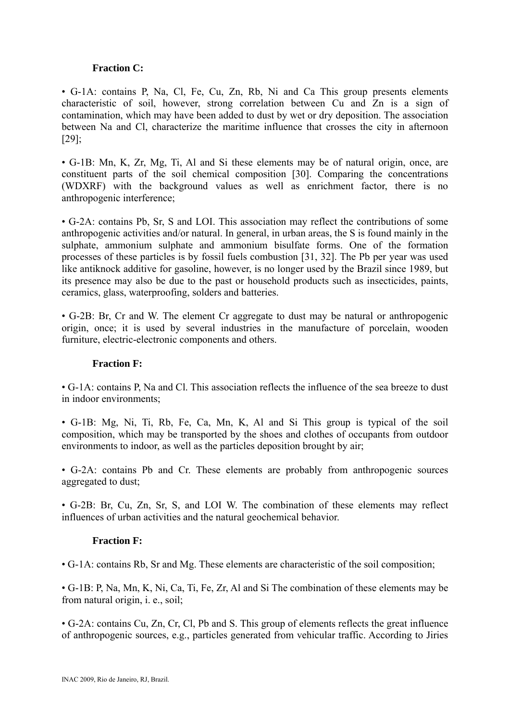# **Fraction C:**

• G-1A: contains P, Na, Cl, Fe, Cu, Zn, Rb, Ni and Ca This group presents elements characteristic of soil, however, strong correlation between Cu and Zn is a sign of contamination, which may have been added to dust by wet or dry deposition. The association between Na and Cl, characterize the maritime influence that crosses the city in afternoon [29];

• G-1B: Mn, K, Zr, Mg, Ti, Al and Si these elements may be of natural origin, once, are constituent parts of the soil chemical composition [30]. Comparing the concentrations (WDXRF) with the background values as well as enrichment factor, there is no anthropogenic interference;

• G-2A: contains Pb, Sr, S and LOI. This association may reflect the contributions of some anthropogenic activities and/or natural. In general, in urban areas, the S is found mainly in the sulphate, ammonium sulphate and ammonium bisulfate forms. One of the formation processes of these particles is by fossil fuels combustion [31, 32]. The Pb per year was used like antiknock additive for gasoline, however, is no longer used by the Brazil since 1989, but its presence may also be due to the past or household products such as insecticides, paints, ceramics, glass, waterproofing, solders and batteries.

• G-2B: Br, Cr and W. The element Cr aggregate to dust may be natural or anthropogenic origin, once; it is used by several industries in the manufacture of porcelain, wooden furniture, electric-electronic components and others.

# **Fraction F:**

• G-1A: contains P, Na and Cl. This association reflects the influence of the sea breeze to dust in indoor environments;

• G-1B: Mg, Ni, Ti, Rb, Fe, Ca, Mn, K, Al and Si This group is typical of the soil composition, which may be transported by the shoes and clothes of occupants from outdoor environments to indoor, as well as the particles deposition brought by air;

• G-2A: contains Pb and Cr. These elements are probably from anthropogenic sources aggregated to dust;

• G-2B: Br, Cu, Zn, Sr, S, and LOI W. The combination of these elements may reflect influences of urban activities and the natural geochemical behavior.

# **Fraction F:**

• G-1A: contains Rb, Sr and Mg. These elements are characteristic of the soil composition;

• G-1B: P, Na, Mn, K, Ni, Ca, Ti, Fe, Zr, Al and Si The combination of these elements may be from natural origin, i. e., soil;

• G-2A: contains Cu, Zn, Cr, Cl, Pb and S. This group of elements reflects the great influence of anthropogenic sources, e.g., particles generated from vehicular traffic. According to Jiries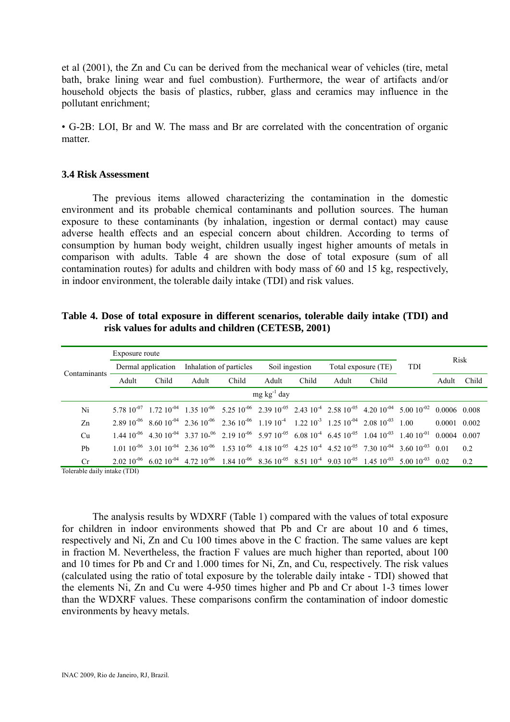et al (2001), the Zn and Cu can be derived from the mechanical wear of vehicles (tire, metal bath, brake lining wear and fuel combustion). Furthermore, the wear of artifacts and/or household objects the basis of plastics, rubber, glass and ceramics may influence in the pollutant enrichment;

• G-2B: LOI, Br and W. The mass and Br are correlated with the concentration of organic matter.

# **3.4 Risk Assessment**

The previous items allowed characterizing the contamination in the domestic environment and its probable chemical contaminants and pollution sources. The human exposure to these contaminants (by inhalation, ingestion or dermal contact) may cause adverse health effects and an especial concern about children. According to terms of consumption by human body weight, children usually ingest higher amounts of metals in comparison with adults. Table 4 are shown the dose of total exposure (sum of all contamination routes) for adults and children with body mass of 60 and 15 kg, respectively, in indoor environment, the tolerable daily intake (TDI) and risk values.

| Contaminants           | Exposure route     |       |                                                                                                                                                              |       |                |       |                     |       |     |        |       |
|------------------------|--------------------|-------|--------------------------------------------------------------------------------------------------------------------------------------------------------------|-------|----------------|-------|---------------------|-------|-----|--------|-------|
|                        | Dermal application |       | Inhalation of particles                                                                                                                                      |       | Soil ingestion |       | Total exposure (TE) |       | TDI | Risk   |       |
|                        | Adult              | Child | Adult                                                                                                                                                        | Child | Adult          | Child | Adult               | Child |     | Adult  | Child |
| $mg \, kg^{-1} \, day$ |                    |       |                                                                                                                                                              |       |                |       |                     |       |     |        |       |
| Ni                     |                    |       | $5.78\ 10^{-07}$ 1.72 $10^{-04}$ 1.35 $10^{-06}$ 5.25 $10^{-06}$ 2.39 $10^{-05}$ 2.43 $10^{-4}$ 2.58 $10^{-05}$ 4.20 $10^{-04}$ 5.00 $10^{-02}$ 0.0006 0.008 |       |                |       |                     |       |     |        |       |
| Zn                     |                    |       | $2.89\,10^{-06}$ $8.60\,10^{-04}$ $2.36\,10^{-06}$ $2.36\,10^{-06}$ $1.19\,10^{-4}$ $1.22\,10^{-3}$ $1.25\,10^{-04}$ $2.08\,10^{-03}$ $1.00$                 |       |                |       |                     |       |     | 0.0001 | 0.002 |
| Cu                     |                    |       | $1.44\ 10^{-06}$ 4.30 $10^{-04}$ 3.37 $10^{-06}$ 2.19 $10^{-06}$ 5.97 $10^{-05}$ 6.08 $10^{-4}$ 6.45 $10^{-05}$ 1.04 $10^{-03}$ 1.40 $10^{-11}$ 0.0004 0.007 |       |                |       |                     |       |     |        |       |
| Pb                     |                    |       | $1.01\ 10^{-06}$ 3.01 $10^{-04}$ 2.36 $10^{-06}$ 1.53 $10^{-06}$ 4.18 $10^{-05}$ 4.25 $10^{-4}$ 4.52 $10^{-05}$ 7.30 $10^{-04}$ 3.60 $10^{-03}$ 0.01         |       |                |       |                     |       |     |        | 0.2   |
| Cr                     |                    |       | $2.02\ 10^{-06}$ 6.02 $10^{-04}$ 4.72 $10^{-06}$ 1.84 $10^{-06}$ 8.36 $10^{-05}$ 8.51 $10^{-4}$ 9.03 $10^{-05}$ 1.45 $10^{-03}$ 5.00 $10^{-03}$ 0.02         |       |                |       |                     |       |     |        | 0.2   |

**Table 4. Dose of total exposure in different scenarios, tolerable daily intake (TDI) and risk values for adults and children (CETESB, 2001)**

Tolerable daily intake (TDI)

 The analysis results by WDXRF (Table 1) compared with the values of total exposure for children in indoor environments showed that Pb and Cr are about 10 and 6 times, respectively and Ni, Zn and Cu 100 times above in the C fraction. The same values are kept in fraction M. Nevertheless, the fraction F values are much higher than reported, about 100 and 10 times for Pb and Cr and 1.000 times for Ni, Zn, and Cu, respectively. The risk values (calculated using the ratio of total exposure by the tolerable daily intake - TDI) showed that the elements Ni, Zn and Cu were 4-950 times higher and Pb and Cr about 1-3 times lower than the WDXRF values. These comparisons confirm the contamination of indoor domestic environments by heavy metals.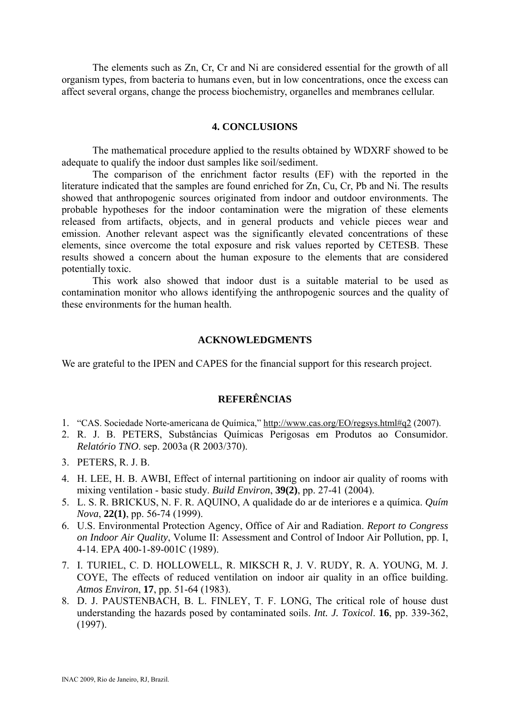The elements such as Zn, Cr, Cr and Ni are considered essential for the growth of all organism types, from bacteria to humans even, but in low concentrations, once the excess can affect several organs, change the process biochemistry, organelles and membranes cellular.

### **4. CONCLUSIONS**

The mathematical procedure applied to the results obtained by WDXRF showed to be adequate to qualify the indoor dust samples like soil/sediment.

The comparison of the enrichment factor results (EF) with the reported in the literature indicated that the samples are found enriched for Zn, Cu, Cr, Pb and Ni. The results showed that anthropogenic sources originated from indoor and outdoor environments. The probable hypotheses for the indoor contamination were the migration of these elements released from artifacts, objects, and in general products and vehicle pieces wear and emission. Another relevant aspect was the significantly elevated concentrations of these elements, since overcome the total exposure and risk values reported by CETESB. These results showed a concern about the human exposure to the elements that are considered potentially toxic.

This work also showed that indoor dust is a suitable material to be used as contamination monitor who allows identifying the anthropogenic sources and the quality of these environments for the human health.

#### **ACKNOWLEDGMENTS**

We are grateful to the IPEN and CAPES for the financial support for this research project.

# **REFERÊNCIAS**

- 1. "CAS. Sociedade Norte-americana de Química," http://www.cas.org/EO/regsys.html#q2 (2007).
- 2. R. J. B. PETERS, Substâncias Químicas Perigosas em Produtos ao Consumidor. *Relatório TNO*. sep. 2003a (R 2003/370).
- 3. PETERS, R. J. B.
- 4. H. LEE, H. B. AWBI, Effect of internal partitioning on indoor air quality of rooms with mixing ventilation - basic study. *Build Environ*, **39(2)**, pp. 27-41 (2004).
- 5. L. S. R. BRICKUS, N. F. R. AQUINO, A qualidade do ar de interiores e a química. *Quím Nova*, **22(1)**, pp. 56-74 (1999).
- 6. U.S. Environmental Protection Agency, Office of Air and Radiation. *Report to Congress on Indoor Air Quality*, Volume II: Assessment and Control of Indoor Air Pollution, pp. I, 4-14. EPA 400-1-89-001C (1989).
- 7. I. TURIEL, C. D. HOLLOWELL, R. MIKSCH R, J. V. RUDY, R. A. YOUNG, M. J. COYE, The effects of reduced ventilation on indoor air quality in an office building. *Atmos Environ*, **17**, pp. 51-64 (1983).
- 8. D. J. PAUSTENBACH, B. L. FINLEY, T. F. LONG, The critical role of house dust understanding the hazards posed by contaminated soils. *Int. J. Toxicol*. **16**, pp. 339-362, (1997).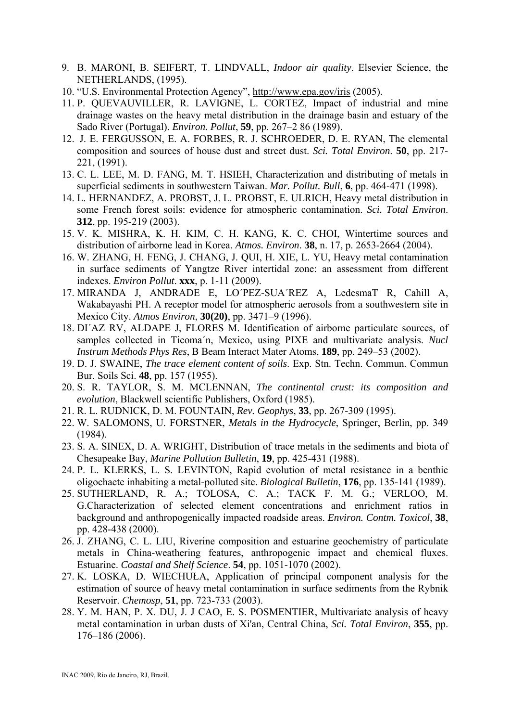- 9. B. MARONI, B. SEIFERT, T. LINDVALL, *Indoor air quality*. Elsevier Science, the NETHERLANDS, (1995).
- 10. "U.S. Environmental Protection Agency", http://www.epa.gov/iris (2005).
- 11. P. QUEVAUVILLER, R. LAVIGNE, L. CORTEZ, Impact of industrial and mine drainage wastes on the heavy metal distribution in the drainage basin and estuary of the Sado River (Portugal). *Environ. Pollut*, **59**, pp. 267–2 86 (1989).
- 12. J. E. FERGUSSON, E. A. FORBES, R. J. SCHROEDER, D. E. RYAN, The elemental composition and sources of house dust and street dust. *Sci. Total Environ*. **50**, pp. 217- 221, (1991).
- 13. C. L. LEE, M. D. FANG, M. T. HSIEH, Characterization and distributing of metals in superficial sediments in southwestern Taiwan. *Mar. Pollut. Bull*, **6**, pp. 464-471 (1998).
- 14. L. HERNANDEZ, A. PROBST, J. L. PROBST, E. ULRICH, Heavy metal distribution in some French forest soils: evidence for atmospheric contamination. *Sci. Total Environ*. **312**, pp. 195-219 (2003).
- 15. V. K. MISHRA, K. H. KIM, C. H. KANG, K. C. CHOI, Wintertime sources and distribution of airborne lead in Korea. *Atmos. Environ*. **38**, n. 17, p. 2653-2664 (2004).
- 16. W. ZHANG, H. FENG, J. CHANG, J. QUI, H. XIE, L. YU, Heavy metal contamination in surface sediments of Yangtze River intertidal zone: an assessment from different indexes. *Environ Pollut*. **xxx**, p. 1-11 (2009).
- 17. MIRANDA J, ANDRADE E, LO´PEZ-SUA´REZ A, LedesmaT R, Cahill A, Wakabayashi PH. A receptor model for atmospheric aerosols from a southwestern site in Mexico City. *Atmos Environ*, **30(20)**, pp. 3471–9 (1996).
- 18. DI´AZ RV, ALDAPE J, FLORES M. Identification of airborne particulate sources, of samples collected in Ticoma´n, Mexico, using PIXE and multivariate analysis. *Nucl Instrum Methods Phys Res*, B Beam Interact Mater Atoms, **189**, pp. 249–53 (2002).
- 19. D. J. SWAINE, *The trace element content of soils*. Exp. Stn. Techn. Commun. Commun Bur. Soils Sci. **48**, pp. 157 (1955).
- 20. S. R. TAYLOR, S. M. MCLENNAN, *The continental crust: its composition and evolution*, Blackwell scientific Publishers, Oxford (1985).
- 21. R. L. RUDNICK, D. M. FOUNTAIN, *Rev. Geophys*, **33**, pp. 267-309 (1995).
- 22. W. SALOMONS, U. FORSTNER, *Metals in the Hydrocycle*, Springer, Berlin, pp. 349 (1984).
- 23. S. A. SINEX, D. A. WRIGHT, Distribution of trace metals in the sediments and biota of Chesapeake Bay, *Marine Pollution Bulletin*, **19**, pp. 425-431 (1988).
- 24. P. L. KLERKS, L. S. LEVINTON, Rapid evolution of metal resistance in a benthic oligochaete inhabiting a metal-polluted site. *Biological Bulletin*, **176**, pp. 135-141 (1989).
- 25. SUTHERLAND, R. A.; TOLOSA, C. A.; TACK F. M. G.; VERLOO, M. G.Characterization of selected element concentrations and enrichment ratios in background and anthropogenically impacted roadside areas. *Environ. Contm. Toxicol*, **38**, pp. 428-438 (2000).
- 26. J. ZHANG, C. L. LIU, Riverine composition and estuarine geochemistry of particulate metals in China-weathering features, anthropogenic impact and chemical fluxes. Estuarine. *Coastal and Shelf Science*. **54**, pp. 1051-1070 (2002).
- 27. K. LOSKA, D. WIECHUŁA, Application of principal component analysis for the estimation of source of heavy metal contamination in surface sediments from the Rybnik Reservoir. *Chemosp*, **51**, pp. 723-733 (2003).
- 28. Y. M. HAN, P. X. DU, J. J CAO, E. S. POSMENTIER, Multivariate analysis of heavy metal contamination in urban dusts of Xi'an, Central China, *Sci. Total Environ*, **355**, pp. 176–186 (2006).